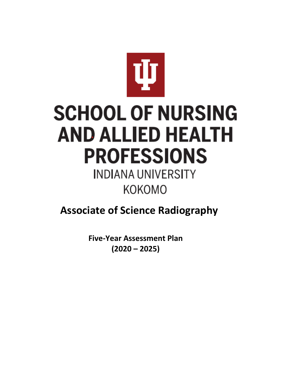

# **SCHOOL OF NURSING AND ALLIED HEALTH PROFESSIONS**

# **INDIANA UNIVERSITY KOKOMO**

### **Associate of Science Radiography**

**Five-Year Assessment Plan (2020 – 2025)**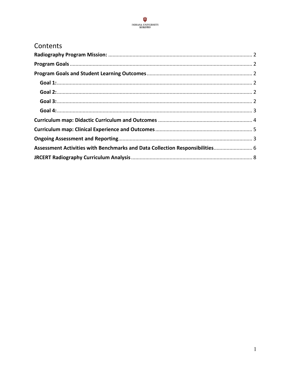

#### Contents

| Assessment Activities with Benchmarks and Data Collection Responsibilities 6 |  |
|------------------------------------------------------------------------------|--|
|                                                                              |  |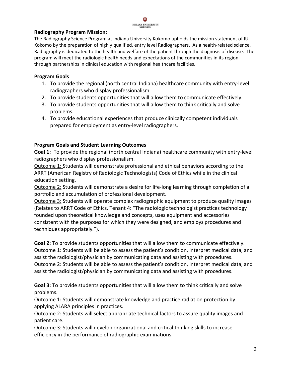#### Ŵ INDIANA UNIVERSITY<br>KOKOMO

#### <span id="page-2-0"></span>**Radiography Program Mission:**

The Radiography Science Program at Indiana University Kokomo upholds the mission statement of IU Kokomo by the preparation of highly qualified, entry level Radiographers. As a health-related science, Radiography is dedicated to the health and welfare of the patient through the diagnosis of disease. The program will meet the radiologic health needs and expectations of the communities in its region through partnerships in clinical education with regional healthcare facilities.

#### <span id="page-2-1"></span>**Program Goals**

- 1. To provide the regional (north central Indiana) healthcare community with entry-level radiographers who display professionalism.
- 2. To provide students opportunities that will allow them to communicate effectively.
- 3. To provide students opportunities that will allow them to think critically and solve problems.
- 4. To provide educational experiences that produce clinically competent individuals prepared for employment as entry-level radiographers.

#### <span id="page-2-2"></span>**Program Goals and Student Learning Outcomes**

<span id="page-2-3"></span>**Goal 1:** To provide the regional (north central Indiana) healthcare community with entry-level radiographers who display professionalism.

Outcome 1: Students will demonstrate professional and ethical behaviors according to the ARRT (American Registry of Radiologic Technologists) Code of Ethics while in the clinical education setting.

Outcome 2: Students will demonstrate a desire for life-long learning through completion of a portfolio and accumulation of professional development.

Outcome 3: Students will operate complex radiographic equipment to produce quality images (Relates to ARRT Code of Ethics, Tenant 4: "The radiologic technologist practices technology founded upon theoretical knowledge and concepts, uses equipment and accessories consistent with the purposes for which they were designed, and employs procedures and techniques appropriately.").

<span id="page-2-4"></span>**Goal 2:** To provide students opportunities that will allow them to communicate effectively. Outcome 1: Students will be able to assess the patient's condition, interpret medical data, and assist the radiologist/physician by communicating data and assisting with procedures. Outcome 2: Students will be able to assess the patient's condition, interpret medical data, and assist the radiologist/physician by communicating data and assisting with procedures.

<span id="page-2-5"></span>**Goal 3:** To provide students opportunities that will allow them to think critically and solve problems.

Outcome 1: Students will demonstrate knowledge and practice radiation protection by applying ALARA principles in practices.

Outcome 2: Students will select appropriate technical factors to assure quality images and patient care.

Outcome 3: Students will develop organizational and critical thinking skills to increase efficiency in the performance of radiographic examinations.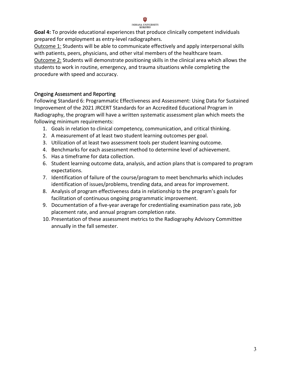

#### INDIANA UNIVERSITY<br>KOKOMO

<span id="page-3-0"></span>**Goal 4:** To provide educational experiences that produce clinically competent individuals prepared for employment as entry-level radiographers.

Outcome 1: Students will be able to communicate effectively and apply interpersonal skills with patients, peers, physicians, and other vital members of the healthcare team.

Outcome 2: Students will demonstrate positioning skills in the clinical area which allows the students to work in routine, emergency, and trauma situations while completing the procedure with speed and accuracy.

#### <span id="page-3-1"></span>Ongoing Assessment and Reporting

Following Standard 6: Programmatic Effectiveness and Assessment: Using Data for Sustained Improvement of the 2021 JRCERT Standards for an Accredited Educational Program in Radiography, the program will have a written systematic assessment plan which meets the following minimum requirements:

- 1. Goals in relation to clinical competency, communication, and critical thinking.
- 2. A measurement of at least two student learning outcomes per goal.
- 3. Utilization of at least two assessment tools per student learning outcome.
- 4. Benchmarks for each assessment method to determine level of achievement.
- 5. Has a timeframe for data collection.
- 6. Student learning outcome data, analysis, and action plans that is compared to program expectations.
- 7. Identification of failure of the course/program to meet benchmarks which includes identification of issues/problems, trending data, and areas for improvement.
- 8. Analysis of program effectiveness data in relationship to the program's goals for facilitation of continuous ongoing programmatic improvement.
- 9. Documentation of a five-year average for credentialing examination pass rate, job placement rate, and annual program completion rate.
- 10. Presentation of these assessment metrics to the Radiography Advisory Committee annually in the fall semester.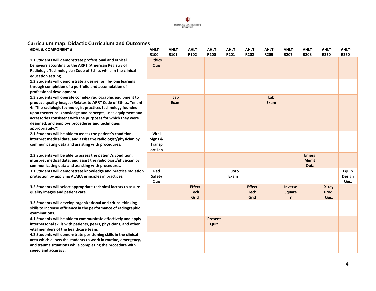

### **Curriculum map: Didactic Curriculum and Outcomes**

<span id="page-4-0"></span>

| <b>GOAL #. COMPONENT #</b>                                                                                                                                                                                                                                                                                                                                                                           | AHLT-<br>R100                         | AHLT-<br>R101 | AHLT-<br>R102                        | AHLT-<br><b>R200</b>   | AHLT-<br>R201         | AHLT-<br>R202                        | AHLT-<br><b>R205</b> | AHLT-<br>R207                                               | AHLT-<br><b>R208</b>                | AHLT-<br>R250          | AHLT-<br>R260           |
|------------------------------------------------------------------------------------------------------------------------------------------------------------------------------------------------------------------------------------------------------------------------------------------------------------------------------------------------------------------------------------------------------|---------------------------------------|---------------|--------------------------------------|------------------------|-----------------------|--------------------------------------|----------------------|-------------------------------------------------------------|-------------------------------------|------------------------|-------------------------|
| 1.1 Students will demonstrate professional and ethical<br>behaviors according to the ARRT (American Registry of<br>Radiologic Technologists) Code of Ethics while in the clinical<br>education setting.                                                                                                                                                                                              | <b>Ethics</b><br>Quiz                 |               |                                      |                        |                       |                                      |                      |                                                             |                                     |                        |                         |
| 1.2 Students will demonstrate a desire for life-long learning<br>through completion of a portfolio and accumulation of<br>professional development.                                                                                                                                                                                                                                                  |                                       |               |                                      |                        |                       |                                      |                      |                                                             |                                     |                        |                         |
| 1.3 Students will operate complex radiographic equipment to<br>produce quality images (Relates to ARRT Code of Ethics, Tenant<br>4: "The radiologic technologist practices technology founded<br>upon theoretical knowledge and concepts, uses equipment and<br>accessories consistent with the purposes for which they were<br>designed, and employs procedures and techniques<br>appropriately."). |                                       | Lab<br>Exam   |                                      |                        |                       |                                      | Lab<br>Exam          |                                                             |                                     |                        |                         |
| 2.1 Students will be able to assess the patient's condition,<br>interpret medical data, and assist the radiologist/physician by<br>communicating data and assisting with procedures.                                                                                                                                                                                                                 | Vital<br>Signs &<br>Transp<br>ort Lab |               |                                      |                        |                       |                                      |                      |                                                             |                                     |                        |                         |
| 2.2 Students will be able to assess the patient's condition,<br>interpret medical data, and assist the radiologist/physician by<br>communicating data and assisting with procedures.                                                                                                                                                                                                                 |                                       |               |                                      |                        |                       |                                      |                      |                                                             | <b>Emerg</b><br><b>Mgmt</b><br>Quiz |                        |                         |
| 3.1 Students will demonstrate knowledge and practice radiation<br>protection by applying ALARA principles in practices.                                                                                                                                                                                                                                                                              | Rad<br>Safety<br>Quiz                 |               |                                      |                        | <b>Fluoro</b><br>Exam |                                      |                      |                                                             |                                     |                        | Equip<br>Design<br>Quiz |
| 3.2 Students will select appropriate technical factors to assure<br>quality images and patient care.                                                                                                                                                                                                                                                                                                 |                                       |               | <b>Effect</b><br><b>Tech</b><br>Grid |                        |                       | <b>Effect</b><br><b>Tech</b><br>Grid |                      | <b>Inverse</b><br><b>Square</b><br>$\overline{\phantom{a}}$ |                                     | X-ray<br>Prod.<br>Quiz |                         |
| 3.3 Students will develop organizational and critical thinking<br>skills to increase efficiency in the performance of radiographic<br>examinations.                                                                                                                                                                                                                                                  |                                       |               |                                      |                        |                       |                                      |                      |                                                             |                                     |                        |                         |
| 4.1 Students will be able to communicate effectively and apply<br>interpersonal skills with patients, peers, physicians, and other<br>vital members of the healthcare team.                                                                                                                                                                                                                          |                                       |               |                                      | <b>Present</b><br>Quiz |                       |                                      |                      |                                                             |                                     |                        |                         |
| 4.2 Students will demonstrate positioning skills in the clinical<br>area which allows the students to work in routine, emergency,<br>and trauma situations while completing the procedure with<br>speed and accuracy.                                                                                                                                                                                |                                       |               |                                      |                        |                       |                                      |                      |                                                             |                                     |                        |                         |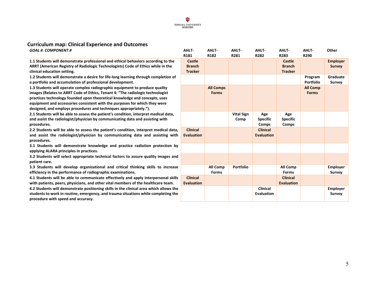## $\underset{\substack{\text{INDIAN WIVERSTY} \\ \text{KOKOMO}}} {\mathbf{U}}$

### **Curriculum map: Clinical Experience and Outcomes**

| <b>GOAL #. COMPONENT #</b>                                                             | AHLT-             | AHLT-            | AHLT-             | AHLT-             | AHLT-             | <b>AHLT-</b>     | Other           |
|----------------------------------------------------------------------------------------|-------------------|------------------|-------------------|-------------------|-------------------|------------------|-----------------|
|                                                                                        | R <sub>181</sub>  | R <sub>182</sub> | R281              | R282              | R283              | R290             |                 |
| 1.1 Students will demonstrate professional and ethical behaviors according to the      | Castle            |                  |                   |                   | Castle            |                  | <b>Employer</b> |
| ARRT (American Registry of Radiologic Technologists) Code of Ethics while in the       | <b>Branch</b>     |                  |                   |                   | <b>Branch</b>     |                  | <b>Survey</b>   |
| clinical education setting.                                                            | <b>Tracker</b>    |                  |                   |                   | <b>Tracker</b>    |                  |                 |
| 1.2 Students will demonstrate a desire for life-long learning through completion of    |                   |                  |                   |                   |                   | Program          | Graduate        |
| a portfolio and accumulation of professional development.                              |                   |                  |                   |                   |                   | <b>Portfolio</b> | <b>Survey</b>   |
| 1.3 Students will operate complex radiographic equipment to produce quality            |                   | <b>All Comps</b> |                   |                   |                   | <b>All Comp</b>  |                 |
| images (Relates to ARRT Code of Ethics, Tenant 4: "The radiologic technologist         |                   | <b>Forms</b>     |                   |                   |                   | <b>Forms</b>     |                 |
| practices technology founded upon theoretical knowledge and concepts, uses             |                   |                  |                   |                   |                   |                  |                 |
| equipment and accessories consistent with the purposes for which they were             |                   |                  |                   |                   |                   |                  |                 |
| designed, and employs procedures and techniques appropriately.").                      |                   |                  |                   |                   |                   |                  |                 |
| 2.1 Students will be able to assess the patient's condition, interpret medical data,   |                   |                  | <b>Vital Sign</b> | Age               | Age               |                  |                 |
| and assist the radiologist/physician by communicating data and assisting with          |                   |                  | Comp              | <b>Specific</b>   | <b>Specific</b>   |                  |                 |
| procedures.                                                                            |                   |                  |                   | Comps             | Comps             |                  |                 |
| 2.2 Students will be able to assess the patient's condition, interpret medical data,   | <b>Clinical</b>   |                  |                   | <b>Clinical</b>   |                   |                  |                 |
| and assist the radiologist/physician by communicating data and assisting with          | <b>Evaluation</b> |                  |                   | <b>Evaluation</b> |                   |                  |                 |
| procedures.                                                                            |                   |                  |                   |                   |                   |                  |                 |
| 3.1 Students will demonstrate knowledge and practice radiation protection by           |                   |                  |                   |                   |                   |                  |                 |
| applying ALARA principles in practices.                                                |                   |                  |                   |                   |                   |                  |                 |
| 3.2 Students will select appropriate technical factors to assure quality images and    |                   |                  |                   |                   |                   |                  |                 |
| patient care.                                                                          |                   |                  |                   |                   |                   |                  |                 |
| 3.3 Students will develop organizational and critical thinking skills to increase      |                   | <b>All Comp</b>  | Portfolio         |                   | All Comp          |                  | <b>Employer</b> |
| efficiency in the performance of radiographic examinations.                            |                   | <b>Forms</b>     |                   |                   | <b>Forms</b>      |                  | <b>Survey</b>   |
| 4.1 Students will be able to communicate effectively and apply interpersonal skills    | <b>Clinical</b>   |                  |                   |                   | <b>Clinical</b>   |                  |                 |
| with patients, peers, physicians, and other vital members of the healthcare team.      | <b>Evaluation</b> |                  |                   |                   | <b>Evaluation</b> |                  |                 |
| 4.2 Students will demonstrate positioning skills in the clinical area which allows the |                   |                  |                   | <b>Clinical</b>   |                   |                  | <b>Employer</b> |
| students to work in routine, emergency, and trauma situations while completing the     |                   |                  |                   | <b>Evaluation</b> |                   |                  | <b>Survey</b>   |

<span id="page-5-0"></span>**students to work in routine, emergency, and trauma situations while completing the procedure with speed and accuracy.**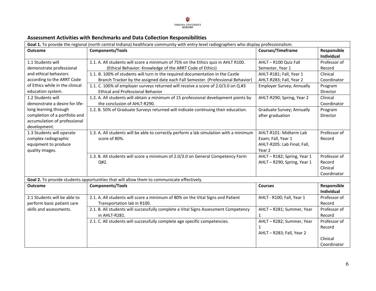## $\underset{\text{KOKOMO}}{\underbrace{\mathop{\smash{\boldsymbol{\mathrm{WDLANA}}}}}}\underset{\text{KOKOMO}}{\underbrace{\mathop{\smash{\boldsymbol{\mathrm{WD}}}}}}$

#### **Assessment Activities with Benchmarks and Data Collection Responsibilities**

<span id="page-6-0"></span>

| Goal 1. To provide the regional (north central Indiana) healthcare community with entry-level radiographers who display professionalism. |                                                                                                                               |                                               |                           |  |
|------------------------------------------------------------------------------------------------------------------------------------------|-------------------------------------------------------------------------------------------------------------------------------|-----------------------------------------------|---------------------------|--|
| <b>Outcome</b>                                                                                                                           | <b>Components/Tools</b>                                                                                                       | <b>Courses/Timeframe</b>                      | Responsible<br>Individual |  |
| 1.1 Students will                                                                                                                        | 1.1. A. All students will score a minimum of 75% on the Ethics quiz in AHLT R100.                                             | AHLT - R100 Quiz Fall                         | Professor of              |  |
| demonstrate professional                                                                                                                 | (Ethical Behavior: Knowledge of the ARRT Code of Ethics)                                                                      | Semester, Year 1                              | Record                    |  |
| and ethical behaviors                                                                                                                    | 1.1. B. 100% of students will turn in the required documentation in the Castle                                                | AHLT-R181; Fall, Year 1                       | Clinical                  |  |
| according to the ARRT Code                                                                                                               | Branch Tracker by the assigned date each Fall Semester. (Professional Behavior)                                               | AHLT-R283; Fall, Year 2                       | Coordinator               |  |
| of Ethics while in the clinical<br>education system.                                                                                     | 1.1. C. 100% of employer surveys returned will receive a score of 2.0/3.0 on Q.#3<br><b>Ethical and Professional Behavior</b> | Employer Survey; Annually                     | Program<br>Director       |  |
| 1.2 Students will                                                                                                                        | 1.2. A. All students will obtain a minimum of 15 professional development points by                                           | AHLT-R290; Spring, Year 2                     | Clinical                  |  |
| demonstrate a desire for life-                                                                                                           | the conclusion of AHLT-R290.                                                                                                  |                                               | Coordinator               |  |
| long learning through<br>completion of a portfolio and<br>accumulation of professional<br>development.                                   | 1.2. B. 50% of Graduate Surveys returned will indicate continuing their education.                                            | Graduate Survey; Annually<br>after graduation | Program<br>Director       |  |
| 1.3 Students will operate                                                                                                                | 1.3. A. All students will be able to correctly perform a lab simulation with a minimum                                        | AHLT-R101: Midterm Lab                        | Professor of              |  |
| complex radiographic                                                                                                                     | score of 80%.                                                                                                                 | Exam; Fall, Year 1                            | Record                    |  |
| equipment to produce                                                                                                                     |                                                                                                                               | AHLT-R205: Lab Final; Fall,                   |                           |  |
| quality images.                                                                                                                          |                                                                                                                               | Year 2                                        |                           |  |
|                                                                                                                                          | 1.3. B. All students will score a minimum of 2.0/3.0 on General Competency Form                                               | AHLT - R182; Spring, Year 1                   | Professor of              |  |
|                                                                                                                                          | Q#2.                                                                                                                          | AHLT - R290; Spring, Year 1                   | Record                    |  |
|                                                                                                                                          |                                                                                                                               |                                               | Clinical                  |  |
|                                                                                                                                          |                                                                                                                               |                                               | Coordinator               |  |
| Goal 2. To provide students opportunities that will allow them to communicate effectively.                                               |                                                                                                                               |                                               |                           |  |
| <b>Outcome</b>                                                                                                                           | <b>Components/Tools</b>                                                                                                       | <b>Courses</b>                                | Responsible<br>Individual |  |
| 2.1 Students will be able to                                                                                                             | 2.1. A. All students will score a minimum of 80% on the Vital Signs and Patient                                               | AHLT - R100; Fall, Year 1                     | Professor of              |  |
| perform basic patient care                                                                                                               | Transportation lab in R100.                                                                                                   |                                               | Record                    |  |
| skills and assessments.                                                                                                                  | 2.1. B. All students will successfully complete a Vital Signs Assessment Competency                                           | AHLT-R281; Summer, Year                       | Professor of              |  |
|                                                                                                                                          | in AHLT-R281.                                                                                                                 | $\mathbf{1}$                                  | Record                    |  |
|                                                                                                                                          | 2.1. C. All students will successfully complete age specific competencies.                                                    | AHLT - R282; Summer, Year                     | Professor of              |  |
|                                                                                                                                          |                                                                                                                               | $\mathbf{1}$                                  | Record                    |  |
|                                                                                                                                          |                                                                                                                               | AHLT-R283; Fall, Year 2                       |                           |  |
|                                                                                                                                          |                                                                                                                               |                                               | Clinical                  |  |
|                                                                                                                                          |                                                                                                                               |                                               | Coordinator               |  |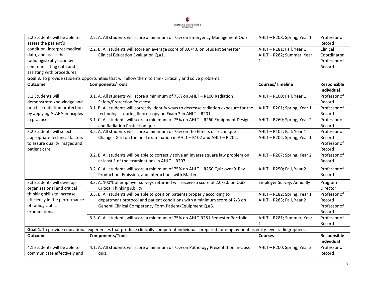

| 2.2 Students will be able to<br>assess the patient's                                                   | 2.2. A. All students will score a minimum of 75% on Emergency Management Quiz.                                                                 | AHLT - R208; Spring, Year 1 | Professor of<br>Record |  |  |
|--------------------------------------------------------------------------------------------------------|------------------------------------------------------------------------------------------------------------------------------------------------|-----------------------------|------------------------|--|--|
| condition, interpret medical                                                                           | 2.2. B. All students will score an average score of 3.0/4.0 on Student Semester                                                                | AHLT-R181; Fall, Year 1     | Clinical               |  |  |
| data, and assist the                                                                                   | Clinical Education Evaluation Q.#1.                                                                                                            | AHLT - R282; Summer, Year   | Coordinator            |  |  |
|                                                                                                        |                                                                                                                                                |                             |                        |  |  |
| radiologist/physician by                                                                               |                                                                                                                                                | $\mathbf{1}$                | Professor of           |  |  |
| communicating data and                                                                                 |                                                                                                                                                |                             | Record                 |  |  |
| assisting with procedures.                                                                             |                                                                                                                                                |                             |                        |  |  |
| Goal 3. To provide students opportunities that will allow them to think critically and solve problems. |                                                                                                                                                |                             |                        |  |  |
| <b>Outcome</b>                                                                                         | <b>Components/Tools</b>                                                                                                                        | <b>Courses/Timeline</b>     | Responsible            |  |  |
|                                                                                                        |                                                                                                                                                |                             | Individual             |  |  |
| 3.1 Students will                                                                                      | 3.1. A. All students will score a minimum of 75% on AHLT - R100 Radiation                                                                      | AHLT-R100; Fall, Year 1     | Professor of           |  |  |
| demonstrate knowledge and                                                                              | Safety/Protection Post-test.                                                                                                                   |                             | Record                 |  |  |
| practice radiation protection                                                                          | 3.1. B. All students will correctly identify ways to decrease radiation exposure for the                                                       | AHLT - R201; Spring, Year 1 | Professor of           |  |  |
| by applying ALARA principles                                                                           | technologist during fluoroscopy on Exam 3 in AHLT - R201.                                                                                      |                             | Record                 |  |  |
| in practice.                                                                                           | 3.1. C. All students will score a minimum of 75% on AHLT - R260 Equipment Design                                                               | AHLT - R260; Spring, Year 2 | Professor of           |  |  |
|                                                                                                        |                                                                                                                                                |                             |                        |  |  |
|                                                                                                        | and Radiation Protection quiz.                                                                                                                 |                             | Record                 |  |  |
| 3.2 Students will select                                                                               | 3.2. A. All students will score a minimum of 75% on the Effects of Technique                                                                   | AHLT-R102; Fall, Year 1     | Professor of           |  |  |
| appropriate technical factors                                                                          | Changes Grid on the final examination in AHLT - R102 and AHLT - R 202.                                                                         | AHLT - R202; Spring, Year 1 | Record                 |  |  |
| to assure quality images and                                                                           |                                                                                                                                                |                             | Professor of           |  |  |
| patient care.                                                                                          |                                                                                                                                                |                             | Record                 |  |  |
|                                                                                                        | 3.2. B. All students will be able to correctly solve an inverse square law problem on                                                          | AHLT - R207; Spring, Year 2 | Professor of           |  |  |
|                                                                                                        | at least 1 of the examinations in AHLT - R207.                                                                                                 |                             | Record                 |  |  |
|                                                                                                        |                                                                                                                                                |                             |                        |  |  |
|                                                                                                        | 3.2. C. All students will score a minimum of 75% on AHLT - R250 Quiz over X-Ray                                                                | AHLT - R250; Fall, Year 2   | Professor of           |  |  |
|                                                                                                        | Production, Emission, and Interactions with Matter.                                                                                            |                             | Record                 |  |  |
| 3.3 Students will develop                                                                              | 3.3. A. 100% of employer surveys returned will receive a score of 2.0/3.0 on Q.#8                                                              | Employer Survey, Annually   | Program                |  |  |
| organizational and critical                                                                            | Critical Thinking Ability.                                                                                                                     |                             | Director               |  |  |
| thinking skills to increase                                                                            | 3.3. B. All students will be able to position patients properly according to                                                                   | AHLT - R182; Spring, Year 1 | Professor of           |  |  |
| efficiency in the performance                                                                          | department protocol and patient conditions with a minimum score of 2/3 on                                                                      | AHLT - R283; Fall, Year 2   | Record                 |  |  |
| of radiographic                                                                                        | General Clinical Competency Form Patient/Equipment Q.#5.                                                                                       |                             | Professor of           |  |  |
| examinations.                                                                                          |                                                                                                                                                |                             | Record                 |  |  |
|                                                                                                        | 3.3. C. All students will score a minimum of 75% on AHLT-R281 Semester Portfolio.                                                              | AHLT - R281; Summer, Year   | Professor of           |  |  |
|                                                                                                        |                                                                                                                                                |                             |                        |  |  |
|                                                                                                        |                                                                                                                                                | $\mathbf{1}$                | Record                 |  |  |
|                                                                                                        | Goal 4. To provide educational experiences that produce clinically competent individuals prepared for employment as entry-level radiographers. |                             |                        |  |  |
| <b>Outcome</b>                                                                                         | <b>Components/Tools</b>                                                                                                                        | <b>Courses</b>              | Responsible            |  |  |
|                                                                                                        |                                                                                                                                                |                             | Individual             |  |  |
| 4.1 Students will be able to                                                                           | 4.1. A. All students will score a minimum of 75% on Pathology Presentation In-class                                                            | AHLT - R200; Spring, Year 2 | Professor of           |  |  |
| communicate effectively and                                                                            | quiz.                                                                                                                                          |                             | Record                 |  |  |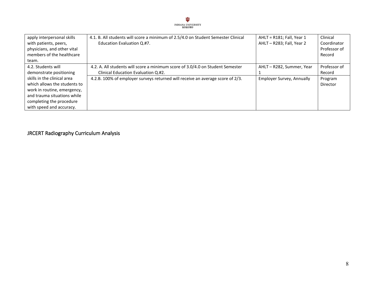

| apply interpersonal skills<br>with patients, peers,<br>physicians, and other vital<br>members of the healthcare | 4.1. B. All students will score a minimum of 2.5/4.0 on Student Semester Clinical<br>Education Evaluation Q.#7. | $AHLT = R181$ ; Fall, Year 1<br>AHLT - R283; Fall, Year 2 | Clinical<br>Coordinator<br>Professor of<br>Record |
|-----------------------------------------------------------------------------------------------------------------|-----------------------------------------------------------------------------------------------------------------|-----------------------------------------------------------|---------------------------------------------------|
| team.                                                                                                           |                                                                                                                 |                                                           |                                                   |
| 4.2. Students will                                                                                              | 4.2. A. All students will score a minimum score of 3.0/4.0 on Student Semester                                  | AHLT - R282, Summer, Year                                 | Professor of                                      |
| demonstrate positioning                                                                                         | Clinical Education Evaluation Q.#2.                                                                             |                                                           | Record                                            |
| skills in the clinical area                                                                                     | 4.2.B. 100% of employer surveys returned will receive an average score of 2/3.                                  | Employer Survey, Annually                                 | Program                                           |
| which allows the students to                                                                                    |                                                                                                                 |                                                           | Director                                          |
| work in routine, emergency,                                                                                     |                                                                                                                 |                                                           |                                                   |
| and trauma situations while                                                                                     |                                                                                                                 |                                                           |                                                   |
| completing the procedure                                                                                        |                                                                                                                 |                                                           |                                                   |
| with speed and accuracy.                                                                                        |                                                                                                                 |                                                           |                                                   |

<span id="page-8-0"></span>JRCERT Radiography Curriculum Analysis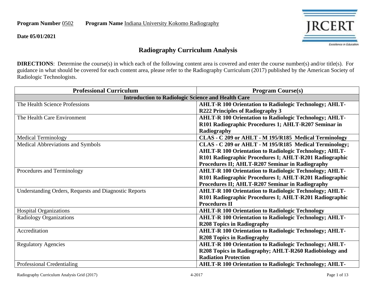**Program Number 0502 Program Name Indiana University Kokomo Radiography** 

**Date 05/01/2021**



#### **Radiography Curriculum Analysis**

**DIRECTIONS**: Determine the course(s) in which each of the following content area is covered and enter the course number(s) and/or title(s). For guidance in what should be covered for each content area, please refer to the Radiography Curriculum (2017) published by the American Society of Radiologic Technologists.

| <b>Professional Curriculum</b>                               | <b>Program Course(s)</b>                                      |  |  |  |
|--------------------------------------------------------------|---------------------------------------------------------------|--|--|--|
| <b>Introduction to Radiologic Science and Health Care</b>    |                                                               |  |  |  |
| The Health Science Professions                               | <b>AHLT-R 100 Orientation to Radiologic Technology; AHLT-</b> |  |  |  |
|                                                              | <b>R222 Principles of Radiography 3</b>                       |  |  |  |
| The Health Care Environment                                  | <b>AHLT-R 100 Orientation to Radiologic Technology; AHLT-</b> |  |  |  |
|                                                              | R101 Radiographic Procedures 1; AHLT-R207 Seminar in          |  |  |  |
|                                                              | Radiography                                                   |  |  |  |
| <b>Medical Terminology</b>                                   | CLAS - C 209 or AHLT - M 195/R185 Medical Terminology         |  |  |  |
| <b>Medical Abbreviations and Symbols</b>                     | CLAS - C 209 or AHLT - M 195/R185 Medical Terminology;        |  |  |  |
|                                                              | <b>AHLT-R 100 Orientation to Radiologic Technology; AHLT-</b> |  |  |  |
|                                                              | R101 Radiographic Procedures I; AHLT-R201 Radiographic        |  |  |  |
|                                                              | Procedures II; AHLT-R207 Seminar in Radiography               |  |  |  |
| Procedures and Terminology                                   | <b>AHLT-R 100 Orientation to Radiologic Technology; AHLT-</b> |  |  |  |
|                                                              | R101 Radiographic Procedures I; AHLT-R201 Radiographic        |  |  |  |
|                                                              | Procedures II; AHLT-R207 Seminar in Radiography               |  |  |  |
| <b>Understanding Orders, Requests and Diagnostic Reports</b> | <b>AHLT-R 100 Orientation to Radiologic Technology; AHLT-</b> |  |  |  |
|                                                              | R101 Radiographic Procedures I; AHLT-R201 Radiographic        |  |  |  |
|                                                              | <b>Procedures II</b>                                          |  |  |  |
| <b>Hospital Organizations</b>                                | <b>AHLT-R 100 Orientation to Radiologic Technology</b>        |  |  |  |
| <b>Radiology Organizations</b>                               | <b>AHLT-R 100 Orientation to Radiologic Technology; AHLT-</b> |  |  |  |
|                                                              | <b>R208 Topics in Radiography</b>                             |  |  |  |
| Accreditation                                                | <b>AHLT-R 100 Orientation to Radiologic Technology; AHLT-</b> |  |  |  |
|                                                              | <b>R208 Topics in Radiography</b>                             |  |  |  |
| <b>Regulatory Agencies</b>                                   | <b>AHLT-R 100 Orientation to Radiologic Technology; AHLT-</b> |  |  |  |
|                                                              | R208 Topics in Radiography; AHLT-R260 Radiobiology and        |  |  |  |
|                                                              | <b>Radiation Protection</b>                                   |  |  |  |
| Professional Credentialing                                   | <b>AHLT-R 100 Orientation to Radiologic Technology; AHLT-</b> |  |  |  |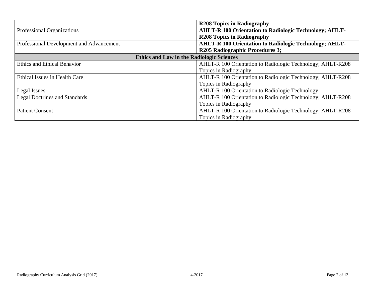|                                                  | <b>R208 Topics in Radiography</b>                             |
|--------------------------------------------------|---------------------------------------------------------------|
| Professional Organizations                       | <b>AHLT-R 100 Orientation to Radiologic Technology; AHLT-</b> |
|                                                  | <b>R208 Topics in Radiography</b>                             |
| Professional Development and Advancement         | <b>AHLT-R 100 Orientation to Radiologic Technology; AHLT-</b> |
|                                                  | <b>R205 Radiographic Procedures 3;</b>                        |
| <b>Ethics and Law in the Radiologic Sciences</b> |                                                               |
| <b>Ethics and Ethical Behavior</b>               | AHLT-R 100 Orientation to Radiologic Technology; AHLT-R208    |
|                                                  | Topics in Radiography                                         |
| Ethical Issues in Health Care                    | AHLT-R 100 Orientation to Radiologic Technology; AHLT-R208    |
|                                                  | Topics in Radiography                                         |
| Legal Issues                                     | <b>AHLT-R 100 Orientation to Radiologic Technology</b>        |
| <b>Legal Doctrines and Standards</b>             | AHLT-R 100 Orientation to Radiologic Technology; AHLT-R208    |
|                                                  | Topics in Radiography                                         |
| <b>Patient Consent</b>                           | AHLT-R 100 Orientation to Radiologic Technology; AHLT-R208    |
|                                                  | Topics in Radiography                                         |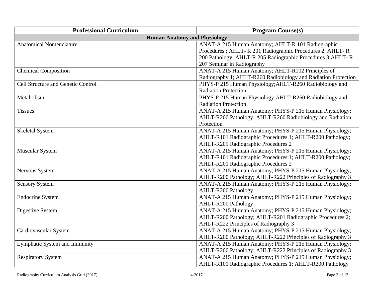| <b>Professional Curriculum</b>            | <b>Program Course(s)</b>                                       |  |  |  |
|-------------------------------------------|----------------------------------------------------------------|--|--|--|
| <b>Human Anatomy and Physiology</b>       |                                                                |  |  |  |
| <b>Anatomical Nomenclature</b>            | ANAT-A 215 Human Anatomy; AHLT-R 101 Radiographic              |  |  |  |
|                                           | Procedures ; AHLT- R 201 Radiographic Procedures 2; AHLT- R    |  |  |  |
|                                           | 200 Pathology; AHLT-R 205 Radiographic Procedures 3; AHLT-R    |  |  |  |
|                                           | 207 Seminar in Radiography                                     |  |  |  |
| <b>Chemical Composition</b>               | ANAT-A 215 Human Anatomy; AHLT-R102 Principles of              |  |  |  |
|                                           | Radiography 1; AHLT-R260 Radiobiology and Radiation Protection |  |  |  |
| <b>Cell Structure and Genetic Control</b> | PHYS-P 215 Human Physiology; AHLT-R260 Radiobiology and        |  |  |  |
|                                           | <b>Radiation Protection</b>                                    |  |  |  |
| Metabolism                                | PHYS-P 215 Human Physiology; AHLT-R260 Radiobiology and        |  |  |  |
|                                           | <b>Radiation Protection</b>                                    |  |  |  |
| <b>Tissues</b>                            | ANAT-A 215 Human Anatomy; PHYS-P 215 Human Physiology;         |  |  |  |
|                                           | AHLT-R200 Pathology; AHLT-R260 Radiobiology and Radiation      |  |  |  |
|                                           | Protection                                                     |  |  |  |
| <b>Skeletal System</b>                    | ANAT-A 215 Human Anatomy; PHYS-P 215 Human Physiology;         |  |  |  |
|                                           | AHLT-R101 Radiographic Procedures 1; AHLT-R200 Pathology;      |  |  |  |
|                                           | AHLT-R201 Radiographic Procedures 2                            |  |  |  |
| Muscular System                           | ANAT-A 215 Human Anatomy; PHYS-P 215 Human Physiology;         |  |  |  |
|                                           | AHLT-R101 Radiographic Procedures 1; AHLT-R200 Pathology;      |  |  |  |
|                                           | <b>AHLT-R201 Radiographic Procedures 2</b>                     |  |  |  |
| Nervous System                            | ANAT-A 215 Human Anatomy; PHYS-P 215 Human Physiology;         |  |  |  |
|                                           | AHLT-R200 Pathology; AHLT-R222 Principles of Radiography 3     |  |  |  |
| <b>Sensory System</b>                     | ANAT-A 215 Human Anatomy; PHYS-P 215 Human Physiology;         |  |  |  |
|                                           | <b>AHLT-R200 Pathology</b>                                     |  |  |  |
| <b>Endocrine System</b>                   | ANAT-A 215 Human Anatomy; PHYS-P 215 Human Physiology;         |  |  |  |
|                                           | AHLT-R200 Pathology                                            |  |  |  |
| Digestive System                          | ANAT-A 215 Human Anatomy; PHYS-P 215 Human Physiology;         |  |  |  |
|                                           | AHLT-R200 Pathology; AHLT-R201 Radiographic Procedures 2;      |  |  |  |
|                                           | AHLT-R222 Principles of Radiography 3                          |  |  |  |
| Cardiovascular System                     | ANAT-A 215 Human Anatomy; PHYS-P 215 Human Physiology;         |  |  |  |
|                                           | AHLT-R200 Pathology; AHLT-R222 Principles of Radiography 3     |  |  |  |
| Lymphatic System and Immunity             | ANAT-A 215 Human Anatomy; PHYS-P 215 Human Physiology;         |  |  |  |
|                                           | AHLT-R200 Pathology; AHLT-R222 Principles of Radiography 3     |  |  |  |
| <b>Respiratory System</b>                 | ANAT-A 215 Human Anatomy; PHYS-P 215 Human Physiology;         |  |  |  |
|                                           | AHLT-R101 Radiographic Procedures 1; AHLT-R200 Pathology       |  |  |  |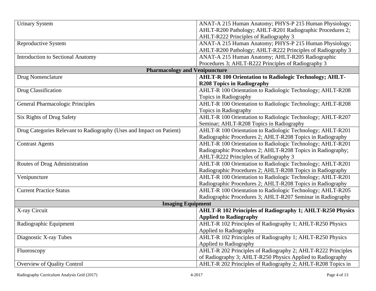| <b>Urinary System</b>                                                | ANAT-A 215 Human Anatomy; PHYS-P 215 Human Physiology;           |
|----------------------------------------------------------------------|------------------------------------------------------------------|
|                                                                      | AHLT-R200 Pathology; AHLT-R201 Radiographic Procedures 2;        |
|                                                                      | AHLT-R222 Principles of Radiography 3                            |
| Reproductive System                                                  | ANAT-A 215 Human Anatomy; PHYS-P 215 Human Physiology;           |
|                                                                      | AHLT-R200 Pathology; AHLT-R222 Principles of Radiography 3       |
| <b>Introduction to Sectional Anatomy</b>                             | ANAT-A 215 Human Anatomy; AHLT-R205 Radiographic                 |
|                                                                      | Procedures 3; AHLT-R222 Principles of Radiography 3              |
| <b>Pharmacology and Venipuncture</b>                                 |                                                                  |
| Drug Nomenclature                                                    | <b>AHLT-R 100 Orientation to Radiologic Technology; AHLT-</b>    |
|                                                                      | <b>R208 Topics in Radiography</b>                                |
| Drug Classification                                                  | AHLT-R 100 Orientation to Radiologic Technology; AHLT-R208       |
|                                                                      | Topics in Radiography                                            |
| <b>General Pharmacologic Principles</b>                              | AHLT-R 100 Orientation to Radiologic Technology; AHLT-R208       |
|                                                                      | Topics in Radiography                                            |
| Six Rights of Drug Safety                                            | AHLT-R 100 Orientation to Radiologic Technology; AHLT-R207       |
|                                                                      | Seminar; AHLT-R208 Topics in Radiography                         |
| Drug Categories Relevant to Radiography (Uses and Impact on Patient) | AHLT-R 100 Orientation to Radiologic Technology; AHLT-R201       |
|                                                                      | Radiographic Procedures 2; AHLT-R208 Topics in Radiography       |
| <b>Contrast Agents</b>                                               | AHLT-R 100 Orientation to Radiologic Technology; AHLT-R201       |
|                                                                      | Radiographic Procedures 2; AHLT-R208 Topics in Radiography;      |
|                                                                      | AHLT-R222 Principles of Radiography 3                            |
| Routes of Drug Administration                                        | AHLT-R 100 Orientation to Radiologic Technology; AHLT-R201       |
|                                                                      | Radiographic Procedures 2; AHLT-R208 Topics in Radiography       |
| Venipuncture                                                         | AHLT-R 100 Orientation to Radiologic Technology; AHLT-R201       |
|                                                                      | Radiographic Procedures 2; AHLT-R208 Topics in Radiography       |
| <b>Current Practice Status</b>                                       | AHLT-R 100 Orientation to Radiologic Technology; AHLT-R205       |
|                                                                      | Radiographic Procedures 3; AHLT-R207 Seminar in Radiography      |
| <b>Imaging Equipment</b>                                             |                                                                  |
| X-ray Circuit                                                        | <b>AHLT-R 102 Principles of Radiography 1; AHLT-R250 Physics</b> |
|                                                                      | <b>Applied to Radiography</b>                                    |
| Radiographic Equipment                                               | AHLT-R 102 Principles of Radiography 1; AHLT-R250 Physics        |
|                                                                      | <b>Applied to Radiography</b>                                    |
| Diagnostic X-ray Tubes                                               | AHLT-R 102 Principles of Radiography 1; AHLT-R250 Physics        |
|                                                                      | Applied to Radiography                                           |
| Fluoroscopy                                                          | AHLT-R 202 Principles of Radiography 2; AHLT-R222 Principles     |
|                                                                      | of Radiography 3; AHLT-R250 Physics Applied to Radiography       |
| Overview of Quality Control                                          | AHLT-R 202 Principles of Radiography 2; AHLT-R208 Topics in      |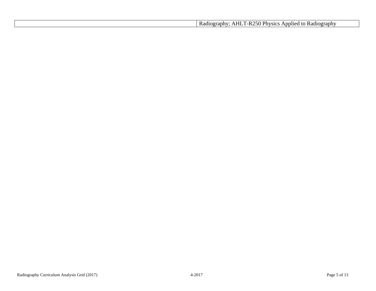| Physics<br>250.<br>AHI<br>$\mathsf{m}_1$<br>' to<br>∠ Radiography<br>Radiography<br>'-к.<br>אטווטר<br>-<br>-11 |
|----------------------------------------------------------------------------------------------------------------|
|----------------------------------------------------------------------------------------------------------------|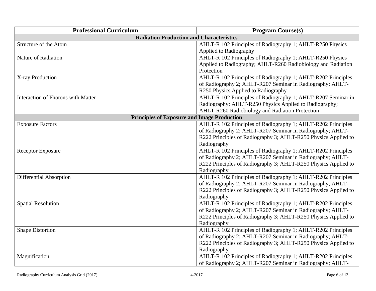| <b>Professional Curriculum</b>                     | <b>Program Course(s)</b>                                       |  |  |  |
|----------------------------------------------------|----------------------------------------------------------------|--|--|--|
| <b>Radiation Production and Characteristics</b>    |                                                                |  |  |  |
| Structure of the Atom                              | AHLT-R 102 Principles of Radiography 1; AHLT-R250 Physics      |  |  |  |
|                                                    | Applied to Radiography                                         |  |  |  |
| Nature of Radiation                                | AHLT-R 102 Principles of Radiography 1; AHLT-R250 Physics      |  |  |  |
|                                                    | Applied to Radiography; AHLT-R260 Radiobiology and Radiation   |  |  |  |
|                                                    | Protection                                                     |  |  |  |
| X-ray Production                                   | AHLT-R 102 Principles of Radiography 1; AHLT-R202 Principles   |  |  |  |
|                                                    | of Radiography 2; AHLT-R207 Seminar in Radiography; AHLT-      |  |  |  |
|                                                    | R250 Physics Applied to Radiography                            |  |  |  |
| Interaction of Photons with Matter                 | AHLT-R 102 Principles of Radiography 1; AHLT-R207 Seminar in   |  |  |  |
|                                                    | Radiography; AHLT-R250 Physics Applied to Radiography;         |  |  |  |
|                                                    | AHLT-R260 Radiobiology and Radiation Protection                |  |  |  |
| <b>Principles of Exposure and Image Production</b> |                                                                |  |  |  |
| <b>Exposure Factors</b>                            | AHLT-R 102 Principles of Radiography 1; AHLT-R202 Principles   |  |  |  |
|                                                    | of Radiography 2; AHLT-R207 Seminar in Radiography; AHLT-      |  |  |  |
|                                                    | R222 Principles of Radiography 3; AHLT-R250 Physics Applied to |  |  |  |
|                                                    | Radiography                                                    |  |  |  |
| <b>Receptor Exposure</b>                           | AHLT-R 102 Principles of Radiography 1; AHLT-R202 Principles   |  |  |  |
|                                                    | of Radiography 2; AHLT-R207 Seminar in Radiography; AHLT-      |  |  |  |
|                                                    | R222 Principles of Radiography 3; AHLT-R250 Physics Applied to |  |  |  |
|                                                    | Radiography                                                    |  |  |  |
| Differential Absorption                            | AHLT-R 102 Principles of Radiography 1; AHLT-R202 Principles   |  |  |  |
|                                                    | of Radiography 2; AHLT-R207 Seminar in Radiography; AHLT-      |  |  |  |
|                                                    | R222 Principles of Radiography 3; AHLT-R250 Physics Applied to |  |  |  |
|                                                    | Radiography                                                    |  |  |  |
| <b>Spatial Resolution</b>                          | AHLT-R 102 Principles of Radiography 1; AHLT-R202 Principles   |  |  |  |
|                                                    | of Radiography 2; AHLT-R207 Seminar in Radiography; AHLT-      |  |  |  |
|                                                    | R222 Principles of Radiography 3; AHLT-R250 Physics Applied to |  |  |  |
|                                                    | Radiography                                                    |  |  |  |
| <b>Shape Distortion</b>                            | AHLT-R 102 Principles of Radiography 1; AHLT-R202 Principles   |  |  |  |
|                                                    | of Radiography 2; AHLT-R207 Seminar in Radiography; AHLT-      |  |  |  |
|                                                    | R222 Principles of Radiography 3; AHLT-R250 Physics Applied to |  |  |  |
|                                                    | Radiography                                                    |  |  |  |
| Magnification                                      | AHLT-R 102 Principles of Radiography 1; AHLT-R202 Principles   |  |  |  |
|                                                    | of Radiography 2; AHLT-R207 Seminar in Radiography; AHLT-      |  |  |  |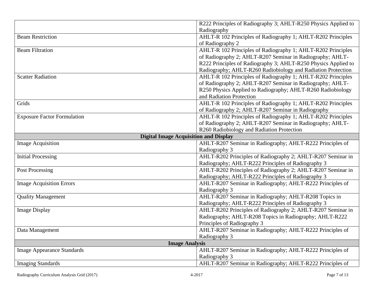|                                              | R222 Principles of Radiography 3; AHLT-R250 Physics Applied to |
|----------------------------------------------|----------------------------------------------------------------|
|                                              | Radiography                                                    |
| <b>Beam Restriction</b>                      | AHLT-R 102 Principles of Radiography 1; AHLT-R202 Principles   |
|                                              | of Radiography 2                                               |
| <b>Beam Filtration</b>                       | AHLT-R 102 Principles of Radiography 1; AHLT-R202 Principles   |
|                                              | of Radiography 2; AHLT-R207 Seminar in Radiography; AHLT-      |
|                                              | R222 Principles of Radiography 3; AHLT-R250 Physics Applied to |
|                                              | Radiography; AHLT-R260 Radiobiology and Radiation Protection   |
| <b>Scatter Radiation</b>                     | AHLT-R 102 Principles of Radiography 1; AHLT-R202 Principles   |
|                                              | of Radiography 2; AHLT-R207 Seminar in Radiography; AHLT-      |
|                                              | R250 Physics Applied to Radiography; AHLT-R260 Radiobiology    |
|                                              | and Radiation Protection                                       |
| Grids                                        | AHLT-R 102 Principles of Radiography 1; AHLT-R202 Principles   |
|                                              | of Radiography 2; AHLT-R207 Seminar in Radiography             |
| <b>Exposure Factor Formulation</b>           | AHLT-R 102 Principles of Radiography 1; AHLT-R202 Principles   |
|                                              | of Radiography 2; AHLT-R207 Seminar in Radiography; AHLT-      |
|                                              | R260 Radiobiology and Radiation Protection                     |
| <b>Digital Image Acquisition and Display</b> |                                                                |
| <b>Image Acquisition</b>                     | AHLT-R207 Seminar in Radiography; AHLT-R222 Principles of      |
|                                              | Radiography 3                                                  |
| <b>Initial Processing</b>                    | AHLT-R202 Principles of Radiography 2; AHLT-R207 Seminar in    |
|                                              | Radiography; AHLT-R222 Principles of Radiography 3             |
| <b>Post Processing</b>                       | AHLT-R202 Principles of Radiography 2; AHLT-R207 Seminar in    |
|                                              | Radiography; AHLT-R222 Principles of Radiography 3             |
| <b>Image Acquisition Errors</b>              | AHLT-R207 Seminar in Radiography; AHLT-R222 Principles of      |
|                                              | Radiography 3                                                  |
| <b>Quality Management</b>                    | AHLT-R207 Seminar in Radiography; AHLT-R208 Topics in          |
|                                              | Radiography; AHLT-R222 Principles of Radiography 3             |
| <b>Image Display</b>                         | AHLT-R202 Principles of Radiography 2; AHLT-R207 Seminar in    |
|                                              | Radiography; AHLT-R208 Topics in Radiography; AHLT-R222        |
|                                              | Principles of Radiography 3                                    |
| Data Management                              | AHLT-R207 Seminar in Radiography; AHLT-R222 Principles of      |
|                                              | Radiography 3                                                  |
| <b>Image Analysis</b>                        |                                                                |
| <b>Image Appearance Standards</b>            | AHLT-R207 Seminar in Radiography; AHLT-R222 Principles of      |
|                                              | Radiography 3                                                  |
| <b>Imaging Standards</b>                     | AHLT-R207 Seminar in Radiography; AHLT-R222 Principles of      |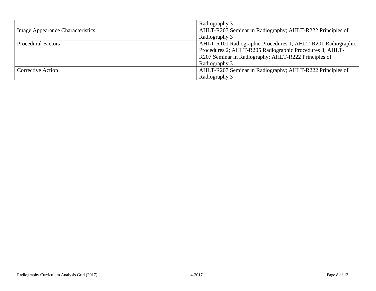|                                  | Radiography 3                                               |
|----------------------------------|-------------------------------------------------------------|
| Image Appearance Characteristics | AHLT-R207 Seminar in Radiography; AHLT-R222 Principles of   |
|                                  | Radiography 3                                               |
| <b>Procedural Factors</b>        | AHLT-R101 Radiographic Procedures 1; AHLT-R201 Radiographic |
|                                  | Procedures 2; AHLT-R205 Radiographic Procedures 3; AHLT-    |
|                                  | R207 Seminar in Radiography; AHLT-R222 Principles of        |
|                                  | Radiography 3                                               |
| <b>Corrective Action</b>         | AHLT-R207 Seminar in Radiography; AHLT-R222 Principles of   |
|                                  | Radiography 3                                               |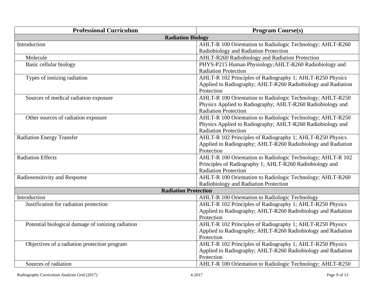| <b>Professional Curriculum</b>                    | <b>Program Course(s)</b>                                     |
|---------------------------------------------------|--------------------------------------------------------------|
| <b>Radiation Biology</b>                          |                                                              |
| Introduction                                      | AHLT-R 100 Orientation to Radiologic Technology; AHLT-R260   |
|                                                   | Radiobiology and Radiation Protection                        |
| Molecule                                          | AHLT-R260 Radiobiology and Radiation Protection              |
| Basic cellular biology                            | PHYS-P215 Human Physiology; AHLT-R260 Radiobiology and       |
|                                                   | <b>Radiation Protection</b>                                  |
| Types of ionizing radiation                       | AHLT-R 102 Principles of Radiography 1; AHLT-R250 Physics    |
|                                                   | Applied to Radiography; AHLT-R260 Radiobiology and Radiation |
|                                                   | Protection                                                   |
| Sources of medical radiation exposure             | AHLT-R 100 Orientation to Radiologic Technology; AHLT-R250   |
|                                                   | Physics Applied to Radiography; AHLT-R260 Radiobiology and   |
|                                                   | <b>Radiation Protection</b>                                  |
| Other sources of radiation exposure               | AHLT-R 100 Orientation to Radiologic Technology; AHLT-R250   |
|                                                   | Physics Applied to Radiography; AHLT-R260 Radiobiology and   |
|                                                   | <b>Radiation Protection</b>                                  |
| <b>Radiation Energy Transfer</b>                  | AHLT-R 102 Principles of Radiography 1; AHLT-R250 Physics    |
|                                                   | Applied to Radiography; AHLT-R260 Radiobiology and Radiation |
|                                                   | Protection                                                   |
| <b>Radiation Effects</b>                          | AHLT-R 100 Orientation to Radiologic Technology; AHLT-R 102  |
|                                                   | Principles of Radiography 1; AHLT-R260 Radiobiology and      |
|                                                   | <b>Radiation Protection</b>                                  |
| Radiosensitivity and Response                     | AHLT-R 100 Orientation to Radiologic Technology; AHLT-R260   |
|                                                   | Radiobiology and Radiation Protection                        |
| <b>Radiation Protection</b>                       |                                                              |
| Introduction                                      | AHLT-R 100 Orientation to Radiologic Technology              |
| Justification for radiation protection            | AHLT-R 102 Principles of Radiography 1; AHLT-R250 Physics    |
|                                                   | Applied to Radiography; AHLT-R260 Radiobiology and Radiation |
|                                                   | Protection                                                   |
| Potential biological damage of ionizing radiation | AHLT-R 102 Principles of Radiography 1; AHLT-R250 Physics    |
|                                                   | Applied to Radiography; AHLT-R260 Radiobiology and Radiation |
|                                                   | Protection                                                   |
| Objectives of a radiation protection program      | AHLT-R 102 Principles of Radiography 1; AHLT-R250 Physics    |
|                                                   | Applied to Radiography; AHLT-R260 Radiobiology and Radiation |
|                                                   | Protection                                                   |
| Sources of radiation                              | AHLT-R 100 Orientation to Radiologic Technology; AHLT-R250   |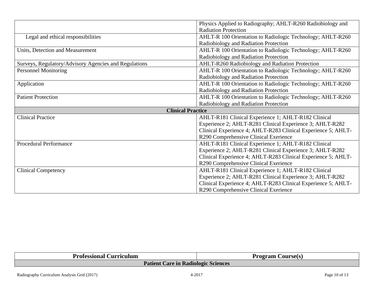|                                                       | Physics Applied to Radiography; AHLT-R260 Radiobiology and    |
|-------------------------------------------------------|---------------------------------------------------------------|
|                                                       | <b>Radiation Protection</b>                                   |
| Legal and ethical responsibilities                    | AHLT-R 100 Orientation to Radiologic Technology; AHLT-R260    |
|                                                       | Radiobiology and Radiation Protection                         |
| Units, Detection and Measurement                      | AHLT-R 100 Orientation to Radiologic Technology; AHLT-R260    |
|                                                       | Radiobiology and Radiation Protection                         |
| Surveys, Regulatory/Advisory Agencies and Regulations | AHLT-R260 Radiobiology and Radiation Protection               |
| <b>Personnel Monitoring</b>                           | AHLT-R 100 Orientation to Radiologic Technology; AHLT-R260    |
|                                                       | Radiobiology and Radiation Protection                         |
| Application                                           | AHLT-R 100 Orientation to Radiologic Technology; AHLT-R260    |
|                                                       | Radiobiology and Radiation Protection                         |
| <b>Patient Protection</b>                             | AHLT-R 100 Orientation to Radiologic Technology; AHLT-R260    |
|                                                       | Radiobiology and Radiation Protection                         |
| <b>Clinical Practice</b>                              |                                                               |
| <b>Clinical Practice</b>                              | AHLT-R181 Clinical Experience 1; AHLT-R182 Clinical           |
|                                                       | Experience 2; AHLT-R281 Clinical Experience 3; AHLT-R282      |
|                                                       |                                                               |
|                                                       | Clinical Experience 4; AHLT-R283 Clinical Experience 5; AHLT- |
|                                                       | R290 Comprehensive Clinical Exerience                         |
| <b>Procedural Performance</b>                         | AHLT-R181 Clinical Experience 1; AHLT-R182 Clinical           |
|                                                       | Experience 2; AHLT-R281 Clinical Experience 3; AHLT-R282      |
|                                                       | Clinical Experience 4; AHLT-R283 Clinical Experience 5; AHLT- |
|                                                       | R290 Comprehensive Clinical Exerience                         |
| <b>Clinical Competency</b>                            | AHLT-R181 Clinical Experience 1; AHLT-R182 Clinical           |
|                                                       | Experience 2; AHLT-R281 Clinical Experience 3; AHLT-R282      |
|                                                       | Clinical Experience 4; AHLT-R283 Clinical Experience 5; AHLT- |

| Professional<br><b>Jurriculum</b>   | Course(s)<br>Program |
|-------------------------------------|----------------------|
| Patient Care in Radiologic Sciences |                      |
|                                     |                      |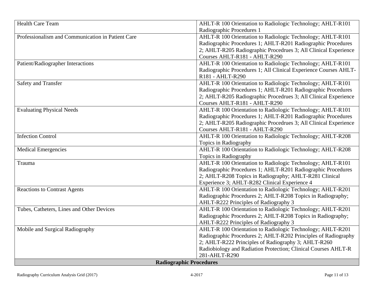| <b>Health Care Team</b>                           | AHLT-R 100 Orientation to Radiologic Technology; AHLT-R101       |
|---------------------------------------------------|------------------------------------------------------------------|
|                                                   | Radiographic Procedures 1                                        |
| Professionalism and Communication in Patient Care | AHLT-R 100 Orientation to Radiologic Technology; AHLT-R101       |
|                                                   | Radiographic Procedures 1; AHLT-R201 Radiographic Procedures     |
|                                                   | 2; AHLT-R205 Radiographic Procedrues 3; All Clinical Experience  |
|                                                   | Courses AHLT-R181 - AHLT-R290                                    |
| Patient/Radiographer Interactions                 | AHLT-R 100 Orientation to Radiologic Technology; AHLT-R101       |
|                                                   | Radiographic Procedures 1; All Clinical Experience Courses AHLT- |
|                                                   | R181 - AHLT-R290                                                 |
| Safety and Transfer                               | AHLT-R 100 Orientation to Radiologic Technology; AHLT-R101       |
|                                                   | Radiographic Procedures 1; AHLT-R201 Radiographic Procedures     |
|                                                   | 2; AHLT-R205 Radiographic Procedrues 3; All Clinical Experience  |
|                                                   | Courses AHLT-R181 - AHLT-R290                                    |
| <b>Evaluating Physical Needs</b>                  | AHLT-R 100 Orientation to Radiologic Technology; AHLT-R101       |
|                                                   | Radiographic Procedures 1; AHLT-R201 Radiographic Procedures     |
|                                                   | 2; AHLT-R205 Radiographic Procedrues 3; All Clinical Experience  |
|                                                   | Courses AHLT-R181 - AHLT-R290                                    |
| <b>Infection Control</b>                          | AHLT-R 100 Orientation to Radiologic Technology; AHLT-R208       |
|                                                   | Topics in Radiography                                            |
| <b>Medical Emergencies</b>                        | AHLT-R 100 Orientation to Radiologic Technology; AHLT-R208       |
|                                                   | Topics in Radiography                                            |
| Trauma                                            | AHLT-R 100 Orientation to Radiologic Technology; AHLT-R101       |
|                                                   | Radiographic Procedures 1; AHLT-R201 Radiographic Procedures     |
|                                                   | 2; AHLT-R208 Topics in Radiography; AHLT-R281 Clinical           |
|                                                   | Experience 3; AHLT-R282 Clinical Experience 4                    |
| <b>Reactions to Contrast Agents</b>               | AHLT-R 100 Orientation to Radiologic Technology; AHLT-R201       |
|                                                   | Radiographic Procedures 2; AHLT-R208 Topics in Radiography;      |
|                                                   | AHLT-R222 Principles of Radiography 3                            |
| Tubes, Catheters, Lines and Other Devices         | AHLT-R 100 Orientation to Radiologic Technology; AHLT-R201       |
|                                                   | Radiographic Procedures 2; AHLT-R208 Topics in Radiography;      |
|                                                   | AHLT-R222 Principles of Radiography 3                            |
| Mobile and Surgical Radiography                   | AHLT-R 100 Orientation to Radiologic Technology; AHLT-R201       |
|                                                   | Radiographic Procedures 2; AHLT-R202 Principles of Radiography   |
|                                                   | 2; AHLT-R222 Principles of Radiography 3; AHLT-R260              |
|                                                   | Radiobiology and Radiation Protection; Clinical Courses AHLT-R   |
|                                                   | 281-AHLT-R290                                                    |
| <b>Radiographic Procedures</b>                    |                                                                  |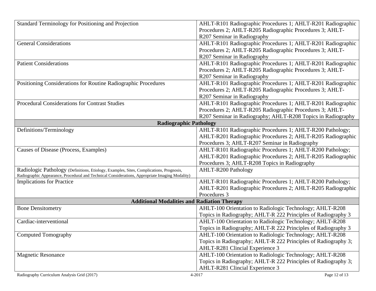| Standard Terminology for Positioning and Projection                                             | AHLT-R101 Radiographic Procedures 1; AHLT-R201 Radiographic    |
|-------------------------------------------------------------------------------------------------|----------------------------------------------------------------|
|                                                                                                 | Procedures 2; AHLT-R205 Radiographic Procedures 3; AHLT-       |
|                                                                                                 | R207 Seminar in Radiography                                    |
| <b>General Considerations</b>                                                                   | AHLT-R101 Radiographic Procedures 1; AHLT-R201 Radiographic    |
|                                                                                                 | Procedures 2; AHLT-R205 Radiographic Procedures 3; AHLT-       |
|                                                                                                 | R207 Seminar in Radiography                                    |
| <b>Patient Considerations</b>                                                                   | AHLT-R101 Radiographic Procedures 1; AHLT-R201 Radiographic    |
|                                                                                                 | Procedures 2; AHLT-R205 Radiographic Procedures 3; AHLT-       |
|                                                                                                 | R207 Seminar in Radiography                                    |
| Positioning Considerations for Routine Radiographic Procedures                                  | AHLT-R101 Radiographic Procedures 1; AHLT-R201 Radiographic    |
|                                                                                                 | Procedures 2; AHLT-R205 Radiographic Procedures 3; AHLT-       |
|                                                                                                 | R207 Seminar in Radiography                                    |
| <b>Procedural Considerations for Contrast Studies</b>                                           | AHLT-R101 Radiographic Procedures 1; AHLT-R201 Radiographic    |
|                                                                                                 | Procedures 2; AHLT-R205 Radiographic Procedures 3; AHLT-       |
|                                                                                                 | R207 Seminar in Radiography; AHLT-R208 Topics in Radiography   |
| <b>Radiographic Pathology</b>                                                                   |                                                                |
| Definitions/Terminology                                                                         | AHLT-R101 Radiographic Procedures 1; AHLT-R200 Pathology;      |
|                                                                                                 | AHLT-R201 Radiographic Procedures 2; AHLT-R205 Radiographic    |
|                                                                                                 | Procedures 3; AHLT-R207 Seminar in Radiography                 |
| Causes of Disease (Process, Examples)                                                           | AHLT-R101 Radiographic Procedures 1; AHLT-R200 Pathology;      |
|                                                                                                 | AHLT-R201 Radiographic Procedures 2; AHLT-R205 Radiographic    |
|                                                                                                 | Procedures 3; AHLT-R208 Topics in Radiography                  |
| Radiologic Pathology (Definitions, Etiology, Examples, Sites, Complications, Prognosis,         | <b>AHLT-R200 Pathology</b>                                     |
| Radiographic Appearance, Procedural and Technical Considerations, Appropriate Imaging Modality) |                                                                |
| <b>Implications for Practice</b>                                                                | AHLT-R101 Radiographic Procedures 1; AHLT-R200 Pathology;      |
|                                                                                                 | AHLT-R201 Radiographic Procedures 2; AHLT-R205 Radiographic    |
|                                                                                                 | Procedures 3                                                   |
| <b>Additional Modalities and Radiation Therapy</b>                                              |                                                                |
| <b>Bone Densitometry</b>                                                                        | AHLT-100 Orientation to Radiologic Technology; AHLT-R208       |
|                                                                                                 | Topics in Radiography; AHLT-R 222 Principles of Radiography 3  |
| Cardiac-interventional                                                                          | AHLT-100 Orientation to Radiologic Technology; AHLT-R208       |
|                                                                                                 | Topics in Radiography; AHLT-R 222 Principles of Radiography 3  |
| <b>Computed Tomography</b>                                                                      | AHLT-100 Orientation to Radiologic Technology; AHLT-R208       |
|                                                                                                 | Topics in Radiography; AHLT-R 222 Principles of Radiography 3; |
|                                                                                                 | AHLT-R281 Clincial Experience 3                                |
| <b>Magnetic Resonance</b>                                                                       | AHLT-100 Orientation to Radiologic Technology; AHLT-R208       |
|                                                                                                 | Topics in Radiography; AHLT-R 222 Principles of Radiography 3; |
|                                                                                                 | <b>AHLT-R281 Clincial Experience 3</b>                         |
| Radiography Curriculum Analysis Grid (2017)                                                     | Page 12 of 13<br>4-2017                                        |